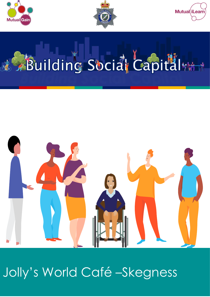





# Building Social Capital



# Jolly's World Café -Skegness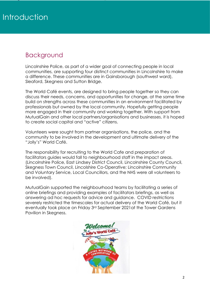## Background

Lincolnshire Police, as part of a wider goal of connecting people in local communities, are supporting four distinct communities in Lincolnshire to make a difference. These communities are in Gainsborough (southwest ward), Sleaford, Skegness and Sutton Bridge.

The World Café events, are designed to bring people together so they can discuss their needs, concerns, and opportunities for change, at the same time build on strengths across these communities in an environment facilitated by professionals but owned by the local community. Hopefully getting people more engaged in their community and working together. With support from MutualGain and other local partners/organisations and businesses, it is hoped to create social capital and "active" citizens.

Volunteers were sought from partner organisations, the police, and the community to be involved in the development and ultimate delivery of the "Jolly's" World Café.

The responsibility for recruiting to the World Cafe and preparation of facilitators guides would fall to neighbourhood staff in the impact areas. (Lincolnshire Police, East Lindsey District Council, Lincolnshire County Council, Skegness Town Council, Lincolshire Co-Operative; Lincolnshire Community and Voluntary Service, Local Councillors, and the NHS were all volunteers to be involved).

MutualGain supported the neighbourhood teams by facilitating a series of online briefings and providing examples of facilitators briefings, as well as answering ad hoc requests for advice and guidance. COVID restrictions severely restricted the timescales for actual delivery of the World Café, but it eventually took place on Friday 3rd September 2021at the Tower Gardens Pavilion in Skegness.

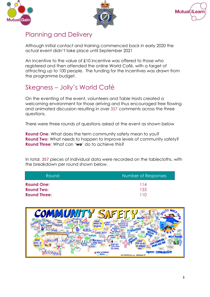





### Planning and Delivery

Although initial contact and training commenced back in early 2020 the actual event didn't take place until September 2021

An incentive to the value of £10 incentive was offered to those who registered and then attended the online World Café, with a target of attracting up to 100 people. The funding for the incentives was drawn from the programme budget.

# Skegness – Jolly's World Café

On the eventing of the event, volunteers and Table Hosts created a welcoming environment for those arriving and thus encouraged free flowing and animated discussion resulting in over 357 comments across the three questions.

There were three rounds of questions asked at the event as shown below

**Round One**: What does the term community safety mean to you? **Round Two:** What needs to happen to improve levels of community safety? **Round Three**: What can '**we**' do to achieve this?

In total, 357 pieces of individual data were recorded on the tablecloths, with the breakdown per round shown below.

| Round               | Number of Responses |
|---------------------|---------------------|
| <b>Round One:</b>   | 114                 |
| <b>Round Two:</b>   | 133                 |
| <b>Round Three:</b> | 110                 |

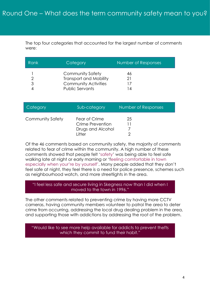The top four categories that accounted for the largest number of comments were:

| Rank | Category                      | Number of Responses |
|------|-------------------------------|---------------------|
|      | <b>Community Safety</b>       | 46                  |
|      | <b>Transport and Mobility</b> | 21                  |
| 3    | <b>Community Activities</b>   |                     |
|      | <b>Public Servants</b>        | ∣4                  |

| Category         | Sub-category                                                     | Number of Responses |
|------------------|------------------------------------------------------------------|---------------------|
| Community Safety | Fear of Crime<br>Crime Prevention<br>Drugs and Alcohol<br>Litter | 25                  |

Of the 46 comments based on community safety, the majority of comments related to fear of crime within the community. A high number of these comments showed that people felt 'safety' was being able to feel safe walking late at night or early morning or 'feeling comfortable in town especially when your're by yourself'. Many people added that they don't feel safe at night, they feel there is a need for police presence, schemes such as neighbourhood watch, and more streetlights in the area.

#### "I feel less safe and secure living in Skegness now than I did when I moved to the town in 1996."

The other comments related to preventing crime by having more CCTV cameras, having community members volunteer to patrol the area to deter crime from occurring, addressing the local drug dealing problem in the area, and supporting those with addictions by addressing the root of the problem.

#### "Would like to see more help available for addicts to prevent thefts which they commit to fund their habit."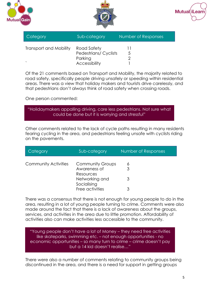





| Category               | Sub-category                 | Number of Responses |
|------------------------|------------------------------|---------------------|
| Transport and Mobility | Road Safety                  |                     |
|                        | <b>Pedestrians/ Cyclists</b> | 5                   |
|                        | Parking                      |                     |
|                        | Accessibility                |                     |

Of the 21 comments based on Transport and Mobility, the majority related to road safety, specifically people driving unsafely or speeding within residential areas. There was a view that holiday makers and tourists drive carelessly, and that pedestrians don't always think of road safety when crossing roads.

One person commented:

.

"Holidaymakers appalling driving, care less pedestrians. Not sure what could be done but it is worrying and stressful"

Other comments related to the lack of cycle paths resulting in many residents fearing cycling in the area, and pedestrians feeling unsafe with cyclists riding on the pavements.

| Category                    | Sub-category                  | Number of Responses |
|-----------------------------|-------------------------------|---------------------|
| <b>Community Activities</b> | <b>Community Groups</b>       | 6                   |
|                             | Awareness of<br>Resources     | 3                   |
|                             | Networking and<br>Socialising | 3                   |
|                             | Free activities               |                     |

There was a consensus that there is not enough for young people to do in the area, resulting in a lot of young people turning to crime. Comments were also made around the fact that there is a lack of awareness about the groups, services, and activities in the area due to little promotion. Affordability of activities also can make activities less accessible to the community.

"Young people don't have a lot of Money – they need free activities like skateparks, swimming etc. – not enough opportunities - no economic opportunities – so many turn to crime – crime doesn't pay but a 14 kid doesn't realise…"

There were also a number of comments relating to community groups being discontinued in the area, and there is a need for support in getting groups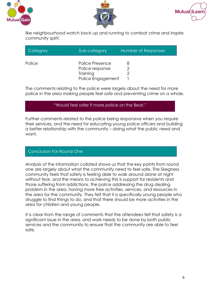





like neighbourhood watch back up and running to combat crime and inspire community spirit.

| Category | Sub-category      | Number of Responses |
|----------|-------------------|---------------------|
| Police   | Police Presence   |                     |
|          | Police response   |                     |
|          | Training          |                     |
|          | Police Engagement |                     |

The comments relating to the police were largely about the need for more police in the area making people feel safe and preventing crime on a whole.

#### "Would feel safer if more police on the Beat."

Further comments related to the police being responsive when you require their services, and the need for educating young police officers and building a better relationship with the community – doing what the public need and want.

#### Conclusion For Round One

Analysis of the information collated shows us that the key points from round one are largely about what the community need to feel safe. The Skegness community feels that safety is feeling able to walk around alone at night without fear, and the means to achieving this is support for residents and those suffering from addictions, the police addressing the drug dealing problem in the area, having more free activities, services, and resources in the area for the community. They felt that it is specifically young people who struggle to find things to do, and that there should be more activities in the area for children and young people.

It is clear from the range of comments that the attendees felt that safety is a significant issue in the area, and work needs to be done by both public services and the community to ensure that the community are able to feel safe.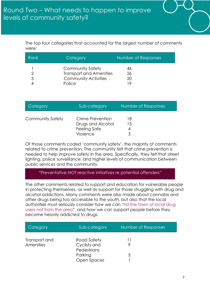

The top four categories that accounted for the largest number of comments were:

| Rank | Category                                                                                           | Number of Responses   |
|------|----------------------------------------------------------------------------------------------------|-----------------------|
|      | <b>Community Safety</b><br><b>Transport and Amenities</b><br><b>Community Activities</b><br>Police | 46<br>26<br>20<br>1 Q |

| Category                | Sub-category                                                             | Number of Responses |
|-------------------------|--------------------------------------------------------------------------|---------------------|
| <b>Community Safety</b> | Crime Prevention<br>Drugs and Alcohol<br><b>Feeling Safe</b><br>Violence | 18<br>15            |

Of those comments coded 'community safety', the majority of comments related to crime prevention. The community felt that crime prevention is needed to help improve safety in the area. Specifically, they felt that street lighting, police surveillance, and higher levels of communication between public services and the community.

#### "Preventative NOT reactive initiatives re potential offenders"

The other comments related to support and education for vulnerable people in protecting themselves, as well as support for those struggling with drug and alcohol addictions. Many comments were also made about cannabis and other drugs being too accessible to the youth, but also that the local authorities must seriously consider how we can "rid the town of local drug users not from the area", and how we can support people before they become heavily addicted to drugs.

| Category      | Sub-category                | Number of Responses |
|---------------|-----------------------------|---------------------|
| Transport and | Road Safety                 |                     |
| Amenities     | Cyclists and<br>Pedestrians |                     |
|               | Parking                     | 5                   |
|               | Open Spaces                 |                     |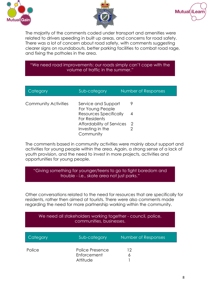





The majority of the comments coded under transport and amenities were related to drivers speeding in built up areas, and concerns for road safety. There was a lot of concern about road safety, with comments suggesting clearer signs on roundabouts, better parking facilities to combat road rage, and fixing the potholes in the area.

#### "We need road improvements: our roads simply can't cope with the volume of traffic in the summer."

| Category                    | Sub-category                                   | Number of Responses |
|-----------------------------|------------------------------------------------|---------------------|
| <b>Community Activities</b> | Service and Support<br>For Young People        | 9                   |
|                             | <b>Resources Specifically</b><br>For Residents | 4                   |
|                             | Affordability of Services                      | -2                  |
|                             | Investing in the                               |                     |
|                             | Community                                      |                     |

The comments based in community activities were mainly about support and activities for young people within the area. Again, a strong sense of a lack of youth provision, and the need to invest in more projects, activities and opportunities for young people.

"Giving something for younger/teens to go to fight boredom and trouble - i.e., skate area not just parks."

Other conversations related to the need for resources that are specifically for residents, rather then aimed at tourists. There were also comments made regarding the need for more partnership working within the community.

| We need all stakeholders working together - council, police,<br>communities, businesses. |                                            |                     |
|------------------------------------------------------------------------------------------|--------------------------------------------|---------------------|
| Category                                                                                 | Sub-category                               | Number of Responses |
| Police                                                                                   | Police Presence<br>Enforcement<br>Attitude | 12<br>6             |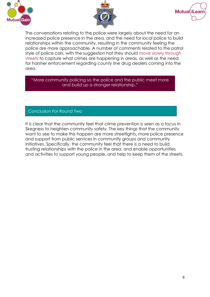





The conversations relating to the police were largely about the need for an increased police presence in the area, and the need for local police to build relationships within the community, resulting in the community feeling the police are more approachable. A number of comments related to the patrol style of police cars, with the suggestion hat they should move slowly through streets to capture what crimes are happening in areas, as well as the need for harsher enforcement regarding county line drug dealers coming into the area.

"More community policing so the police and the public meet more and build up a stronger relationship."

#### Conclusion For Round Two

It is clear that the community feel that crime prevention is seen as a focus in Skegness to heighten community safety. The key things that the community want to see to make this happen are more streetlights, more police presence and support from public services in community groups and community initiatives. Specifically, the community feel that there is a need to build trusting relationships with the police in the area, and enable opportunities and activities to support young people, and help to keep them of the streets.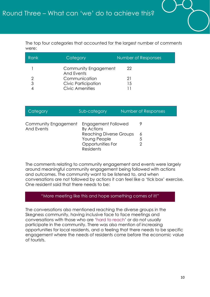

The top four categories that accounted for the largest number of comments were:

| Rank | Category                           | Number of Responses |
|------|------------------------------------|---------------------|
|      | Community Engagement<br>And Events | 22                  |
|      | Communication                      | 21                  |
| 3    | Civic Participation                | 15                  |
|      | <b>Civic Amenities</b>             |                     |

| Category                                  | Sub-category                                                                     | Number of Responses |  |
|-------------------------------------------|----------------------------------------------------------------------------------|---------------------|--|
| Community Engagement<br><b>And Events</b> | Engagement Followed<br><b>By Actions</b>                                         |                     |  |
|                                           | Reaching Diverse Groups<br>Young People<br>Opportunities For<br><b>Residents</b> | 6<br>5              |  |

The comments relating to community engagement and events were largely around meaningful community engagement being followed with actions and outcomes. The community want to be listened to, and when conversations are not followed by actions it can feel like a 'tick box' exercise. One resident said that there needs to be:

#### "More meeting like this and hope something comes of it!"

The conversations also mentioned reaching the diverse groups in the Skegness community, having inclusive face to face meetings and conversations with those who are 'hard to reach' or do not usually participate in the community. There was also mention of increasing opportunities for local residents, and a feeling that there needs to be specific engagement where the needs of residents come before the economic value of tourists.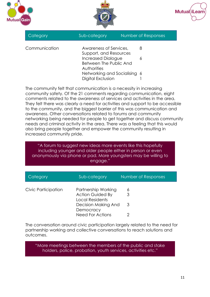





| Category      | Sub-category                                                              | Number of Responses |  |
|---------------|---------------------------------------------------------------------------|---------------------|--|
| Communication | Awareness of Services,<br>Support, and Resources                          | 8                   |  |
|               | <b>Increased Dialogue</b><br>Between The Public And<br><b>Authorities</b> | 6                   |  |
|               | Networking and Socialising 6<br>Digital Exclusion                         |                     |  |

The community felt that communication is a necessity in increasing community safety. Of the 21 comments regarding communication, eight comments related to the awareness of services and activities in the area. They felt there was clearly a need for activities and support to be accessible to the community, and the biggest barrier of this was communication and awareness. Other conversations related to forums and community networking being needed for people to get together and discuss community needs and criminal activity in the area. There was a feeling that this would also bring people together and empower the community resulting in increased community pride.

"A forum to suggest new ideas more events like this hopefully including younger and older people either in person or even anonymously via phone or pad. More youngsters may be willing to engage."

| Category            | Sub-category                                                             | Number of Responses |
|---------------------|--------------------------------------------------------------------------|---------------------|
| Civic Participation | Partnership Working<br><b>Action Guided By</b><br><b>Local Residents</b> | 6                   |
|                     | Decision Making And<br>Democracy                                         | -3                  |
|                     | <b>Need For Actions</b>                                                  |                     |

The conversation around civic participation largely related to the need for partnership working and collective conversations to reach solutions and outcomes.

"More meetings between the members of the public and stake holders, police, probation, youth services, activities etc."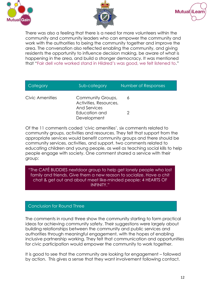





There was also a feeling that there is a need for more volunteers within the community and community leaders who can empower the community and work with the authorities to being the community together and improve the area. The conversation also reflected enabling the community, and giving residents the opportunity to influence decision making, be aware of what is happening in the area, and build a stronger democracy. It was mentioned that "Fair dell vote worked stand in Hildred's was good, we felt listened to."

| Category        | Sub-category                                        | Number of Responses |
|-----------------|-----------------------------------------------------|---------------------|
| Civic Amenities | Community Groups,<br>Activities, Resources,         | 6                   |
|                 | <b>And Services</b><br>Education and<br>Development |                     |

Of the 11 comments coded 'civic amenities', six comments related to community groups, activities and resources. They felt that support from the appropriate services would benefit community groups and there should be community services, activities, and support. two comments related to educating children and young people, as well as teaching social kills to help people engage with society. One comment shared a service with their group:

"The CAFÉ BUDDIES nextdoor group to help get lonely people who lost family and friends. Give them a new reason to socialize. Have a chit chat & get out and about meet like-minded people: 4 HEARTS OF INFINITY."

#### Conclusion for Round Three

The comments in round three show the community starting to form practical ideas for achieving community safety. Their suggestions were largely about building relationships between the community and public services and authorities through meaningful engagement, with the hopes of enabling inclusive partnership working. They felt that communication and opportunities for civic participation would empower the community to work together.

It is good to see that the community are looking for engagement – followed by action. This gives a sense that they want involvement following contact.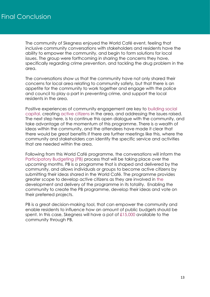The community of Skegness enjoyed the World Café event, feeling that inclusive community conversations with stakeholders and residents have the ability to empower the community, and begin to form solutions for local issues. The group were forthcoming in sharing the concerns they have, specifically regarding crime prevention, and tackling the drug problem in the area.

The conversations show us that the community have not only shared their concerns for local area relating to community safety, but that there is an appetite for the community to work together and engage with the police and council to play a part in preventing crime, and support the local residents in the area.

Positive experiences of community engagement are key to building social capital, creating active citizens in the area, and addressing the issues raised. The next step here, is to continue this open dialogue with the community, and take advantage of the momentum of this programme. There is a wealth of ideas within the community, and the attendees have made it clear that there would be great benefits if there are further meetings like this, where the community and stakeholders can identify the specific service and activities that are needed within the area.

Following from this World Café programme, the conversations will inform the Participatory Budgeting (PB) process that will be taking place over the upcoming months. PB is a programme that is shaped and delivered by the community, and allows individuals or groups to become active citizens by submitting their ideas shared in the World Café. The programme provides greater scope to develop active citizens as they are involved in the development and delivery of the programme in its totality. Enabling the community to create the PB programme, develop their ideas and vote on their preferred projects.

PB is a great decision-making tool, that can empower the community and enable residents to influence how an amount of public budgets should be spent. In this case, Skegness will have a pot of £15,000 available to the community through PB.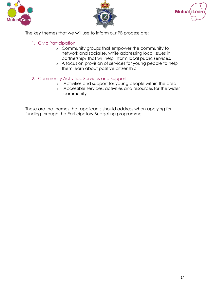





The key themes that we will use to inform our PB process are:

- 1. Civic Participation
	- o Community groups that empower the community to network and socialise, while addressing local issues in partnership/ that will help inform local public services.
	- o A focus on provision of services for young people to help them learn about positive citizenship
- 2. Community Activities, Services and Support
	- o Activities and support for young people within the area
	- o Accessible services, activities and resources for the wider community

These are the themes that applicants should address when applying for funding through the Participatory Budgeting programme.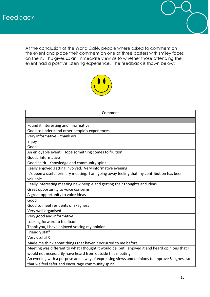

At the conclusion of the World Café, people where asked to comment on the event and place their comment on one of three posters with smiley faces on them. This gives us an immediate view as to whether those attending the event had a positive listening experience. The feedback is shown below:



| Comment                                                                                         |
|-------------------------------------------------------------------------------------------------|
|                                                                                                 |
| Found it interesting and informative                                                            |
| Good to understand other people's experiences                                                   |
| Very informative - thank you                                                                    |
| Enjoy                                                                                           |
| Good                                                                                            |
| An enjoyable event. Hope something comes to fruition                                            |
| Good. Informative                                                                               |
| Good spirit. Knowledge and community spirit                                                     |
| Really enjoyed getting involved. Very informative evening                                       |
| It's been a useful primary meeting. I am going away feeling that my contribution has been       |
| valuable                                                                                        |
| Really interesting meeting new people and getting their thoughts and ideas                      |
| Great opportunity to voice concerns                                                             |
| A great opportunity to voice ideas                                                              |
| Good                                                                                            |
| Good to meet residents of Skegness                                                              |
| Very well organised                                                                             |
| Very good and informative                                                                       |
| Looking forward to feedback                                                                     |
| Thank you, I have enjoyed voicing my opinion                                                    |
| Friendly staff                                                                                  |
| Very useful X                                                                                   |
| Made me think about things that haven't occurred to me before                                   |
| Meeting was different to what I thought it would be, but I enjoyed it and heard opinions that I |
| would not necessarily have heard from outside this meeting                                      |
| An evening with a purpose and a way of expressing views and opinions to improve Skegness so     |
| that we feel safer and encourage community spirit                                               |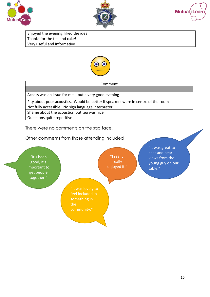





Enjoyed the evening, liked the idea Thanks for the tea and cake! Very useful and informative



| Comment                                                                           |
|-----------------------------------------------------------------------------------|
|                                                                                   |
| Access was an issue for me $-$ but a very good evening                            |
| Pity about poor acoustics. Would be better if speakers were in centre of the room |
| Not fully accessible. No sign language interpreter                                |
| Shame about the acoustics, but tea was nice                                       |
| Questions quite repetitive                                                        |

There were no comments on the sad face.

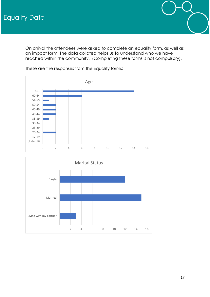



These are the responses from the Equality forms: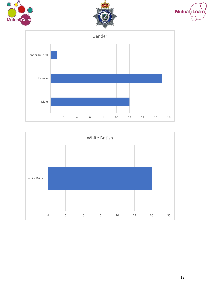







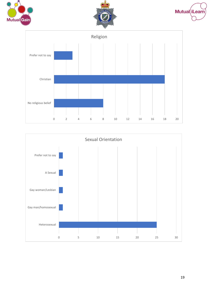







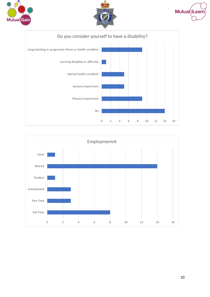







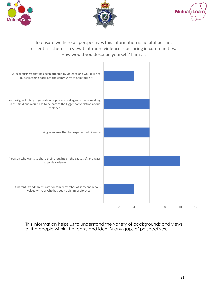





#### To ensure we here all perspectives this information is helpful but not essential - there is a view that more violence is occuring in communities. How would you describe yourself? I am ....



This information helps us to understand the variety of backgrounds and views of the people within the room, and identify any gaps of perspectives.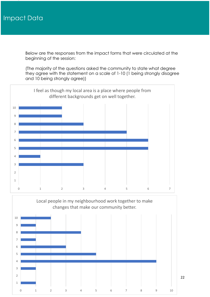Below are the responses from the impact forms that were circulated at the beginning of the session:

(The majority of the questions asked the community to state what degree they agree with the statement on a scale of 1-10 (1 being strongly disagree and 10 being strongly agree))



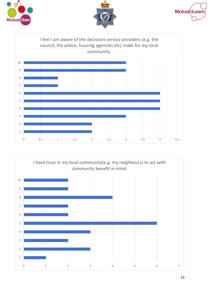







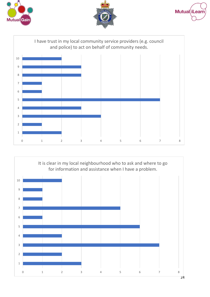







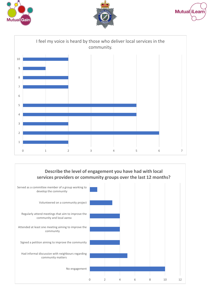









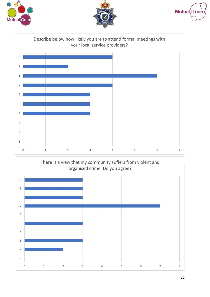





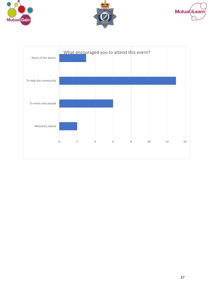





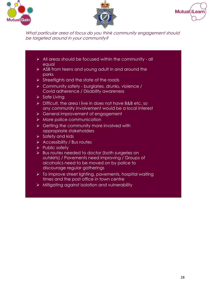





What particular area of focus do you think community engagement should be targeted around in your community?

- ➢ All areas should be focused within the community all equal
- ➢ ASB from teens and young adult in and around the parks
- ➢ Streetlights and the state of the roads
- ➢ Community safety burglaries, drunks, violence / Covid adherence / Disability awareness
- ➢ Safe Living
- ➢ Difficult, the area I live in does not have B&B etc, so any community involvement would be a local interest
- ➢ General improvement of engagement
- ➢ More police communication
- $\triangleright$  Getting the community more involved with appropriate stakeholders
- $\triangleright$  Safety and kids
- ➢ Accessibility / Bus routes
- ➢ Public safety
- ➢ Bus routes needed to doctor (both surgeries on outskirts) / Pavements need improving / Groups of alcoholics need to be moved on by police to discourage regular gatherings
- ➢ To improve street lighting, pavements, hospital waiting times and the post office in town centre
- ➢ Mitigating against isolation and vulnerability